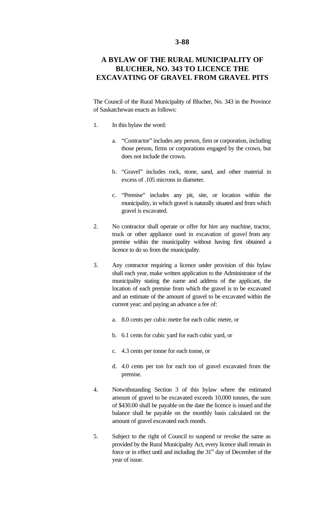## **3-88**

## **A BYLAW OF THE RURAL MUNICIPALITY OF BLUCHER, NO. 343 TO LICENCE THE EXCAVATING OF GRAVEL FROM GRAVEL PITS**

The Council of the Rural Municipality of Blucher, No. 343 in the Province of Saskatchewan enacts as follows:

- 1. In this bylaw the word:
	- a. "Contractor" includes any person, firm or corporation, including those person, firms or corporations engaged by the crown, but does not include the crown.
	- b. "Gravel" includes rock, stone, sand, and other material in excess of .105 microns in diameter.
	- c. "Premise" includes any pit, site, or location within the municipality, in which gravel is naturally situated and from which gravel is excavated.
- 2. No contractor shall operate or offer for hire any machine, tractor, truck or other appliance used in excavation of gravel from any premise within the municipality without having first obtained a licence to do so from the municipality.
- 3. Any contractor requiring a licence under provision of this bylaw shall each year, make written application to the Administrator of the municipality stating the name and address of the applicant, the location of each premise from which the gravel is to be excavated and an estimate of the amount of gravel to be excavated within the current year; and paying an advance a fee of:
	- a. 8.0 cents per cubic metre for each cubic metre, or
	- b. 6.1 cents for cubic yard for each cubic yard, or
	- c. 4.3 cents per tonne for each tonne, or
	- d. 4.0 cents per ton for each ton of gravel excavated from the premise.
- 4. Notwithstanding Section 3 of this bylaw where the estimated amount of gravel to be excavated exceeds 10,000 tonnes, the sum of \$430.00 shall be payable on the date the licence is issued and the balance shall be payable on the monthly basis calculated on the amount of gravel excavated each month.
- 5. Subject to the right of Council to suspend or revoke the same as provided by the Rural Municipality Act, every licence shall remain in force or in effect until and including the  $31<sup>st</sup>$  day of December of the year of issue.